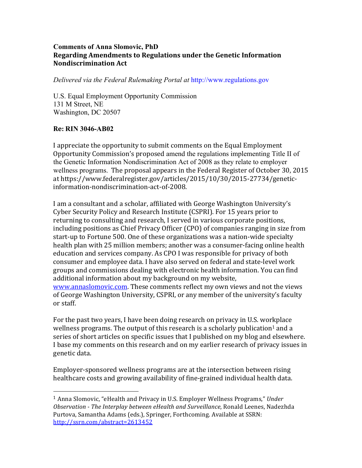## **Comments of Anna Slomovic, PhD**  Regarding Amendments to Regulations under the Genetic Information **Nondiscrimination)Act**

*Delivered via the Federal Rulemaking Portal at* http://www.regulations.gov

U.S. Equal Employment Opportunity Commission 131 M Street, NE Washington, DC 20507

## **Re:)RIN 3046-AB02**

!!!!!!!!!!!!!!!!!!!!!!!!!!!!!!!!!!!!!!!!!!!!!!!!!!!!!!!

I appreciate the opportunity to submit comments on the Equal Employment Opportunity Commission's proposed amend the regulations implementing Title II of the Genetic Information Nondiscrimination Act of 2008 as they relate to employer wellness programs. The proposal appears in the Federal Register of October 30, 2015 at https://www.federalregister.gov/articles/2015/10/30/2015-27734/geneticinformation-nondiscrimination-act-of-2008.

I am a consultant and a scholar, affiliated with George Washington University's Cyber Security Policy and Research Institute (CSPRI). For 15 years prior to returning to consulting and research, I served in various corporate positions, including positions as Chief Privacy Officer (CPO) of companies ranging in size from start-up to Fortune 500. One of these organizations was a nation-wide specialty health plan with 25 million members; another was a consumer-facing online health education and services company. As CPO I was responsible for privacy of both consumer and employee data. I have also served on federal and state-level work groups and commissions dealing with electronic health information. You can find additional information about my background on my website, www.annaslomovic.com. These comments reflect my own views and not the views of George Washington University, CSPRI, or any member of the university's faculty or staff.

For the past two years, I have been doing research on privacy in U.S. workplace wellness programs. The output of this research is a scholarly publication<sup>1</sup> and a series of short articles on specific issues that I published on my blog and elsewhere. I base my comments on this research and on my earlier research of privacy issues in genetic data.

Employer-sponsored wellness programs are at the intersection between rising healthcare costs and growing availability of fine-grained individual health data.

<sup>&</sup>lt;sup>1</sup> Anna Slomovic, "eHealth and Privacy in U.S. Employer Wellness Programs," *Under* Observation - The Interplay between eHealth and Surveillance, Ronald Leenes, Nadezhda Purtova, Samantha Adams (eds.), Springer, Forthcoming. Available at SSRN: http://ssrn.com/abstract=2613452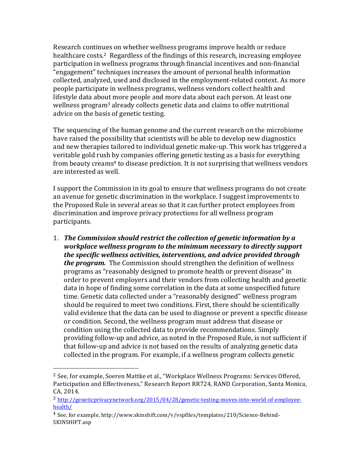Research continues on whether wellness programs improve health or reduce healthcare costs.<sup>2</sup> Regardless of the findings of this research, increasing employee participation in wellness programs through financial incentives and non-financial "engagement" techniques increases the amount of personal health information collected, analyzed, used and disclosed in the employment-related context. As more people participate in wellness programs, wellness vendors collect health and lifestyle data about more people and more data about each person. At least one wellness program<sup>3</sup> already collects genetic data and claims to offer nutritional advice on the basis of genetic testing.

The sequencing of the human genome and the current research on the microbiome have raised the possibility that scientists will be able to develop new diagnostics and new therapies tailored to individual genetic make-up. This work has triggered a veritable gold rush by companies offering genetic testing as a basis for everything from beauty creams<sup>4</sup> to disease prediction. It is not surprising that wellness vendors are interested as well.

I support the Commission in its goal to ensure that wellness programs do not create an avenue for genetic discrimination in the workplace. I suggest improvements to the Proposed Rule in several areas so that it can further protect employees from discrimination and improve privacy protections for all wellness program participants.

1. The Commission should restrict the collection of genetic information by a *workplace\$wellness\$program\$to\$the\$minimum\$necessary\$to\$directly\$support\$ the specific wellness activities, interventions, and advice provided through the program.* The Commission should strengthen the definition of wellness programs as "reasonably designed to promote health or prevent disease" in order to prevent employers and their vendors from collecting health and genetic data in hope of finding some correlation in the data at some unspecified future time. Genetic data collected under a "reasonably designed" wellness program should be required to meet two conditions. First, there should be scientifically valid evidence that the data can be used to diagnose or prevent a specific disease or condition. Second, the wellness program must address that disease or condition using the collected data to provide recommendations. Simply providing follow-up and advice, as noted in the Proposed Rule, is not sufficient if that follow-up and advice is not based on the results of analyzing genetic data collected in the program. For example, if a wellness program collects genetic

!!!!!!!!!!!!!!!!!!!!!!!!!!!!!!!!!!!!!!!!!!!!!!!!!!!!!!!

 $2$  See, for example, Soeren Mattke et al., "Workplace Wellness Programs: Services Offered, Participation and Effectiveness," Research Report RR724, RAND Corporation, Santa Monica. CA, 2014.

<sup>3</sup> http://geneticprivacynetwork.org/2015/04/28/genetic-testing-moves-into-world-of-employeehealth/

<sup>&</sup>lt;sup>4</sup> See, for example, http://www.skinshift.com/v/vspfiles/templates/210/Science-Behind-SKINSHIFT.asp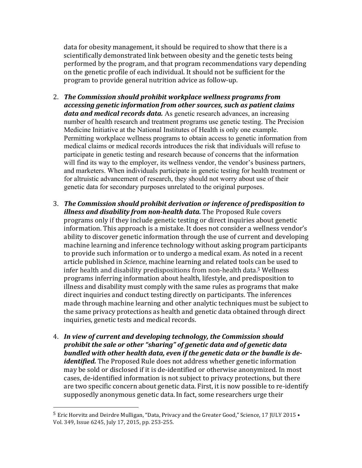data for obesity management, it should be required to show that there is a scientifically demonstrated link between obesity and the genetic tests being performed by the program, and that program recommendations vary depending on the genetic profile of each individual. It should not be sufficient for the program to provide general nutrition advice as follow-up.

- 2. The Commission should prohibit workplace wellness programs from *accessing genetic information from other sources, such as patient claims data and medical records data.* As genetic research advances, an increasing number of health research and treatment programs use genetic testing. The Precision Medicine Initiative at the National Institutes of Health is only one example. Permitting workplace wellness programs to obtain access to genetic information from medical claims or medical records introduces the risk that individuals will refuse to participate in genetic testing and research because of concerns that the information will find its way to the employer, its wellness vendor, the vendor's business partners, and marketers. When individuals participate in genetic testing for health treatment or for altruistic advancement of research, they should not worry about use of their genetic data for secondary purposes unrelated to the original purposes.
- 3. The Commission should prohibit derivation or inference of predisposition to *illness and disability from non-health data.* The Proposed Rule covers programs only if they include genetic testing or direct inquiries about genetic information. This approach is a mistake. It does not consider a wellness vendor's ability to discover genetic information through the use of current and developing machine learning and inference technology without asking program participants to provide such information or to undergo a medical exam. As noted in a recent article published in *Science*, machine learning and related tools can be used to infer health and disability predispositions from non-health data.<sup>5</sup> Wellness programs inferring information about health, lifestyle, and predisposition to illness and disability must comply with the same rules as programs that make direct inquiries and conduct testing directly on participants. The inferences made through machine learning and other analytic techniques must be subject to the same privacy protections as health and genetic data obtained through direct inquiries, genetic tests and medical records.
- 4. In view of current and developing technology, the Commission should *prohibit\$the\$sale\$or\$other\$"sharing"\$of\$genetic\$data and\$of\$genetic\$data\$ bundled\$with\$other\$health\$data,\$even\$if\$the\$genetic\$data\$or\$the\$bundle\$is\$de< identified.* The Proposed Rule does not address whether genetic information may be sold or disclosed if it is de-identified or otherwise anonymized. In most cases, de-identified information is not subject to privacy protections, but there are two specific concern about genetic data. First, it is now possible to re-identify supposedly anonymous genetic data. In fact, some researchers urge their

!!!!!!!!!!!!!!!!!!!!!!!!!!!!!!!!!!!!!!!!!!!!!!!!!!!!!!!

 $5$  Eric Horvitz and Deirdre Mulligan, "Data, Privacy and the Greater Good," Science, 17 JULY 2015 • Vol. 349, Issue 6245, July 17, 2015, pp. 253-255.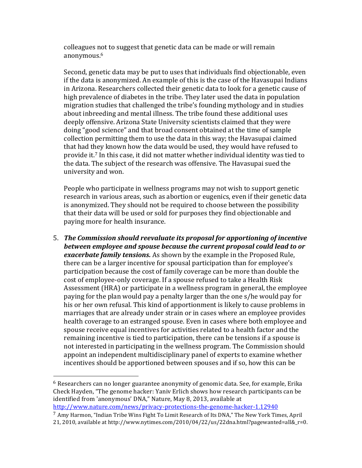colleagues not to suggest that genetic data can be made or will remain anonymous.6

Second, genetic data may be put to uses that individuals find objectionable, even if the data is anonymized. An example of this is the case of the Havasupai Indians in Arizona. Researchers collected their genetic data to look for a genetic cause of high prevalence of diabetes in the tribe. They later used the data in population migration studies that challenged the tribe's founding mythology and in studies about inbreeding and mental illness. The tribe found these additional uses deeply offensive. Arizona State University scientists claimed that they were doing "good science" and that broad consent obtained at the time of sample collection permitting them to use the data in this way; the Havasupai claimed that had they known how the data would be used, they would have refused to provide it.<sup>7</sup> In this case, it did not matter whether individual identity was tied to the data. The subject of the research was offensive. The Havasupai sued the university and won.

People who participate in wellness programs may not wish to support genetic research in various areas, such as abortion or eugenics, even if their genetic data is anonymized. They should not be required to choose between the possibility that their data will be used or sold for purposes they find objectionable and paying more for health insurance.

5. The Commission should reevaluate its proposal for apportioning of incentive between employee and spouse because the current proposal could lead to or *exacerbate family tensions.* As shown by the example in the Proposed Rule, there can be a larger incentive for spousal participation than for employee's participation because the cost of family coverage can be more than double the cost of employee-only coverage. If a spouse refused to take a Health Risk Assessment (HRA) or participate in a wellness program in general, the employee  $\overline{a}$ paying for the plan would pay a penalty larger than the one s/he would pay for his or her own refusal. This kind of apportionment is likely to cause problems in marriages that are already under strain or in cases where an employee provides health coverage to an estranged spouse. Even in cases where both employee and spouse receive equal incentives for activities related to a health factor and the remaining incentive is tied to participation, there can be tensions if a spouse is not interested in participating in the wellness program. The Commission should appoint an independent multidisciplinary panel of experts to examine whether incentives should be apportioned between spouses and if so, how this can be

!!!!!!!!!!!!!!!!!!!!!!!!!!!!!!!!!!!!!!!!!!!!!!!!!!!!!!!

 $6$  Researchers can no longer guarantee anonymity of genomic data. See, for example, Erika Check Hayden, "The genome hacker: Yaniv Erlich shows how research participants can be identified from 'anonymous' DNA," Nature, May 8, 2013, available at http://www.nature.com/news/privacy-protections-the-genome-hacker-1.12940

<sup>&</sup>lt;sup>7</sup> Amy Harmon, "Indian Tribe Wins Fight To Limit Research of Its DNA," The New York Times, April 21, 2010, available at http://www.nytimes.com/2010/04/22/us/22dna.html?pagewanted=all&\_r=0.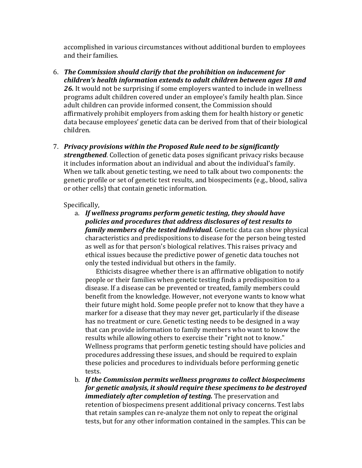accomplished in various circumstances without additional burden to employees and their families.

- 6. The Commission should clarify that the prohibition on inducement for children's health information extends to adult children between ages 18 and 26. It would not be surprising if some employers wanted to include in wellness programs adult children covered under an employee's family health plan. Since adult children can provide informed consent, the Commission should affirmatively prohibit employers from asking them for health history or genetic data because employees' genetic data can be derived from that of their biological children.
- 7. Privacy provisions within the Proposed Rule need to be significantly strengthened. Collection of genetic data poses significant privacy risks because it includes information about an individual and about the individual's family. When we talk about genetic testing, we need to talk about two components: the genetic profile or set of genetic test results, and biospeciments (e.g., blood, saliva or other cells) that contain genetic information.

## Specifically,

a. If wellness programs perform genetic testing, they should have policies and procedures that address disclosures of test results to **family members of the tested individual.** Genetic data can show physical characteristics and predispositions to disease for the person being tested as well as for that person's biological relatives. This raises privacy and ethical issues because the predictive power of genetic data touches not only the tested individual but others in the family.

Ethicists disagree whether there is an affirmative obligation to notify people or their families when genetic testing finds a predisposition to a disease. If a disease can be prevented or treated, family members could benefit from the knowledge. However, not everyone wants to know what their future might hold. Some people prefer not to know that they have a marker for a disease that they may never get, particularly if the disease has no treatment or cure. Genetic testing needs to be designed in a way that can provide information to family members who want to know the results while allowing others to exercise their "right not to know." Wellness programs that perform genetic testing should have policies and procedures addressing these issues, and should be required to explain these policies and procedures to individuals before performing genetic tests.

b. If the Commission permits wellness programs to collect biospecimens for genetic analysis, it should require these specimens to be destroved *immediately after completion of testing.* The preservation and retention of biospecimens present additional privacy concerns. Test labs that retain samples can re-analyze them not only to repeat the original tests, but for any other information contained in the samples. This can be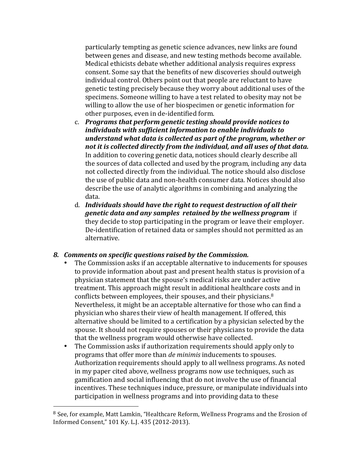particularly tempting as genetic science advances, new links are found between genes and disease, and new testing methods become available. Medical ethicists debate whether additional analysis requires express consent. Some say that the benefits of new discoveries should outweigh individual control. Others point out that people are reluctant to have genetic testing precisely because they worry about additional uses of the specimens. Someone willing to have a test related to obesity may not be willing to allow the use of her biospecimen or genetic information for other purposes, even in de-identified form.

- c. Programs that perform genetic testing should provide notices to individuals with sufficient information to enable individuals to understand what data is collected as part of the program, whether or not it is collected directly from the individual, and all uses of that data. In addition to covering genetic data, notices should clearly describe all the sources of data collected and used by the program, including any data not collected directly from the individual. The notice should also disclose the use of public data and non-health consumer data. Notices should also describe the use of analytic algorithms in combining and analyzing the data.
- d. Individuals should have the right to request destruction of all their *genetic data and any samples retained by the wellness program if* they decide to stop participating in the program or leave their employer. De-identification of retained data or samples should not permitted as an alternative.

## 8. Comments on specific questions raised by the Commission.

- The Commission asks if an acceptable alternative to inducements for spouses to provide information about past and present health status is provision of a physician statement that the spouse's medical risks are under active treatment. This approach might result in additional healthcare costs and in conflicts between employees, their spouses, and their physicians.<sup>8</sup> Nevertheless, it might be an acceptable alternative for those who can find a physician who shares their view of health management. If offered, this alternative should be limited to a certification by a physician selected by the spouse. It should not require spouses or their physicians to provide the data that the wellness program would otherwise have collected.
- The Commission asks if authorization requirements should apply only to  $\bullet$ programs that offer more than *de minimis* inducements to spouses. Authorization requirements should apply to all wellness programs. As noted in my paper cited above, wellness programs now use techniques, such as gamification and social influencing that do not involve the use of financial incentives. These techniques induce, pressure, or manipulate individuals into participation in wellness programs and into providing data to these

<sup>&</sup>lt;sup>8</sup> See, for example, Matt Lamkin, "Healthcare Reform, Wellness Programs and the Erosion of Informed Consent," 101 Ky. L.J. 435 (2012-2013).